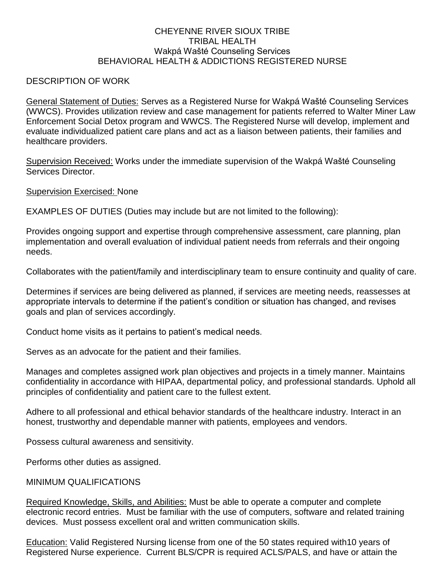## CHEYENNE RIVER SIOUX TRIBE TRIBAL HEALTH Wakpá Wašté Counseling Services BEHAVIORAL HEALTH & ADDICTIONS REGISTERED NURSE

## DESCRIPTION OF WORK

General Statement of Duties: Serves as a Registered Nurse for Wakpá Wašté Counseling Services (WWCS). Provides utilization review and case management for patients referred to Walter Miner Law Enforcement Social Detox program and WWCS. The Registered Nurse will develop, implement and evaluate individualized patient care plans and act as a liaison between patients, their families and healthcare providers.

Supervision Received: Works under the immediate supervision of the Wakpá Wašté Counseling Services Director.

Supervision Exercised: None

EXAMPLES OF DUTIES (Duties may include but are not limited to the following):

Provides ongoing support and expertise through comprehensive assessment, care planning, plan implementation and overall evaluation of individual patient needs from referrals and their ongoing needs.

Collaborates with the patient/family and interdisciplinary team to ensure continuity and quality of care.

Determines if services are being delivered as planned, if services are meeting needs, reassesses at appropriate intervals to determine if the patient's condition or situation has changed, and revises goals and plan of services accordingly.

Conduct home visits as it pertains to patient's medical needs.

Serves as an advocate for the patient and their families.

Manages and completes assigned work plan objectives and projects in a timely manner. Maintains confidentiality in accordance with HIPAA, departmental policy, and professional standards. Uphold all principles of confidentiality and patient care to the fullest extent.

Adhere to all professional and ethical behavior standards of the healthcare industry. Interact in an honest, trustworthy and dependable manner with patients, employees and vendors.

Possess cultural awareness and sensitivity.

Performs other duties as assigned.

## MINIMUM QUALIFICATIONS

Required Knowledge, Skills, and Abilities: Must be able to operate a computer and complete electronic record entries. Must be familiar with the use of computers, software and related training devices. Must possess excellent oral and written communication skills.

Education: Valid Registered Nursing license from one of the 50 states required with10 years of Registered Nurse experience. Current BLS/CPR is required ACLS/PALS, and have or attain the